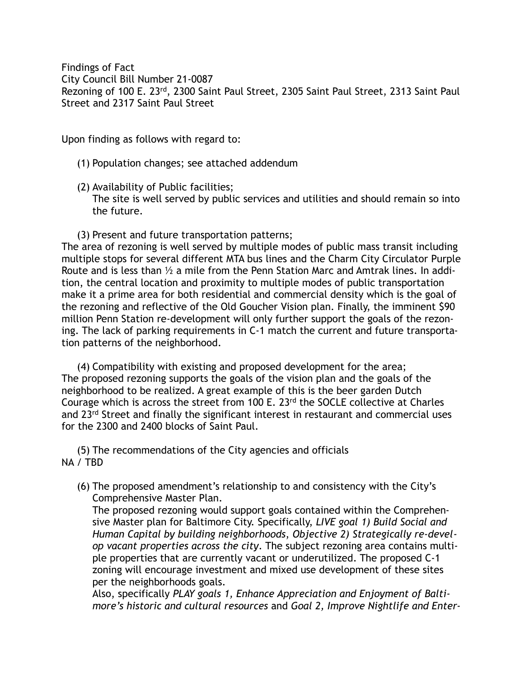Findings of Fact City Council Bill Number 21-0087 Rezoning of 100 E. 23rd, 2300 Saint Paul Street, 2305 Saint Paul Street, 2313 Saint Paul Street and 2317 Saint Paul Street

Upon finding as follows with regard to:

(1) Population changes; see attached addendum

(2) Availability of Public facilities; The site is well served by public services and utilities and should remain so into the future.

(3) Present and future transportation patterns;

The area of rezoning is well served by multiple modes of public mass transit including multiple stops for several different MTA bus lines and the Charm City Circulator Purple Route and is less than ½ a mile from the Penn Station Marc and Amtrak lines. In addition, the central location and proximity to multiple modes of public transportation make it a prime area for both residential and commercial density which is the goal of the rezoning and reflective of the Old Goucher Vision plan. Finally, the imminent \$90 million Penn Station re-development will only further support the goals of the rezoning. The lack of parking requirements in C-1 match the current and future transportation patterns of the neighborhood.

(4) Compatibility with existing and proposed development for the area; The proposed rezoning supports the goals of the vision plan and the goals of the neighborhood to be realized. A great example of this is the beer garden Dutch Courage which is across the street from 100 E. 23<sup>rd</sup> the SOCLE collective at Charles and 23<sup>rd</sup> Street and finally the significant interest in restaurant and commercial uses for the 2300 and 2400 blocks of Saint Paul.

(5) The recommendations of the City agencies and officials NA / TBD

(6) The proposed amendment's relationship to and consistency with the City's Comprehensive Master Plan.

The proposed rezoning would support goals contained within the Comprehensive Master plan for Baltimore City. Specifically, *LIVE goal 1) Build Social and Human Capital by building neighborhoods*, *Objective 2) Strategically re-develop vacant properties across the city*. The subject rezoning area contains multiple properties that are currently vacant or underutilized. The proposed C-1 zoning will encourage investment and mixed use development of these sites per the neighborhoods goals.

Also, specifically *PLAY goals 1, Enhance Appreciation and Enjoyment of Baltimore's historic and cultural resources* and *Goal 2, Improve Nightlife and Enter-*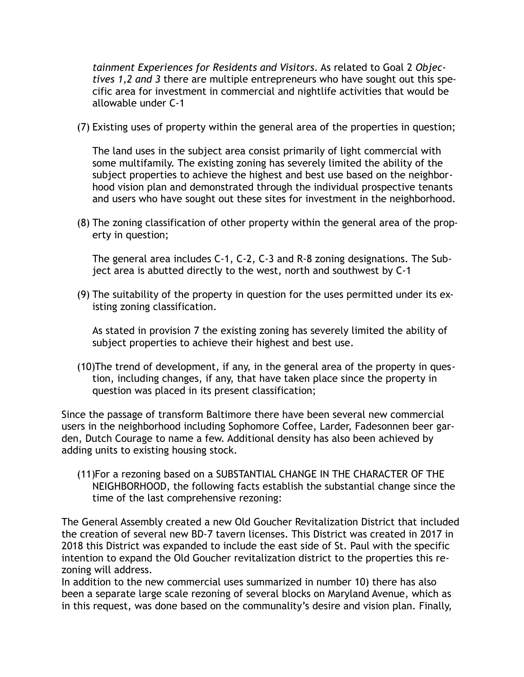*tainment Experiences for Residents and Visitors*. As related to Goal 2 *Objectives 1,2 and 3* there are multiple entrepreneurs who have sought out this specific area for investment in commercial and nightlife activities that would be allowable under C-1

(7) Existing uses of property within the general area of the properties in question;

The land uses in the subject area consist primarily of light commercial with some multifamily. The existing zoning has severely limited the ability of the subject properties to achieve the highest and best use based on the neighborhood vision plan and demonstrated through the individual prospective tenants and users who have sought out these sites for investment in the neighborhood.

(8) The zoning classification of other property within the general area of the property in question;

The general area includes C-1, C-2, C-3 and R-8 zoning designations. The Subject area is abutted directly to the west, north and southwest by C-1

(9) The suitability of the property in question for the uses permitted under its existing zoning classification.

As stated in provision 7 the existing zoning has severely limited the ability of subject properties to achieve their highest and best use.

(10)The trend of development, if any, in the general area of the property in question, including changes, if any, that have taken place since the property in question was placed in its present classification;

Since the passage of transform Baltimore there have been several new commercial users in the neighborhood including Sophomore Coffee, Larder, Fadesonnen beer garden, Dutch Courage to name a few. Additional density has also been achieved by adding units to existing housing stock.

(11)For a rezoning based on a SUBSTANTIAL CHANGE IN THE CHARACTER OF THE NEIGHBORHOOD, the following facts establish the substantial change since the time of the last comprehensive rezoning:

The General Assembly created a new Old Goucher Revitalization District that included the creation of several new BD-7 tavern licenses. This District was created in 2017 in 2018 this District was expanded to include the east side of St. Paul with the specific intention to expand the Old Goucher revitalization district to the properties this rezoning will address.

In addition to the new commercial uses summarized in number 10) there has also been a separate large scale rezoning of several blocks on Maryland Avenue, which as in this request, was done based on the communality's desire and vision plan. Finally,